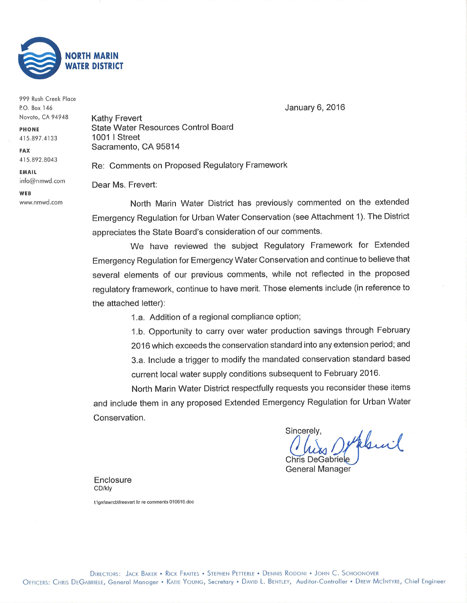

| 999 Rush Creek Place |                                               |
|----------------------|-----------------------------------------------|
| P.O. Box 146         |                                               |
| Novato, CA 94948     | <b>Kathy Frevert</b>                          |
| <b>PHONE</b>         | <b>State Water Resources Control Board</b>    |
| 415.897.4133         | <b>1001   Street</b>                          |
| <b>FAX</b>           | Sacramento, CA 95814                          |
| 415.892.8043         | Re: Comments on Proposed Regulatory Framework |
| EMAIL                |                                               |
| info@nmwd.com        | Dear Ms. Frevert:                             |
| WEB                  |                                               |
| www.nmwd.com         | North Marin Water District has previous       |

January 6,2016

ct has previously commented on the extended Emergency Regulation for Urban Water Conservation (see Attachment 1). The District appreciates the State Board's consideration of our comments.

We have reviewed the subject Regulatory Framework for Extended Emergency Regulation for Emergency Water Conservation and continue to believe that several elements of our previous comments, while not reflected in the proposed regulatory framework, continue to have merit. Those elements include (in reference to the attached letter):

1,a. Addition of a regional compliance option;

1.b. Opportunity to carry over water production savings through February 2016 which exceeds the conservation standard into any extension period; and 3.a. lnclude a trigger to modify the mandated conservation standard based current local water supply conditions subsequent to February 2016.

North Marin Water District respectfully requests you reconsider these items and include them in any proposed Extended Emergency Regulation for Urban Water Conservation.

Sincerely, phil Chris DeGabriele

General Manager

**Enclosure** CD/kly

t:\gm\swrcb\freevert ltr re comments 010616.doc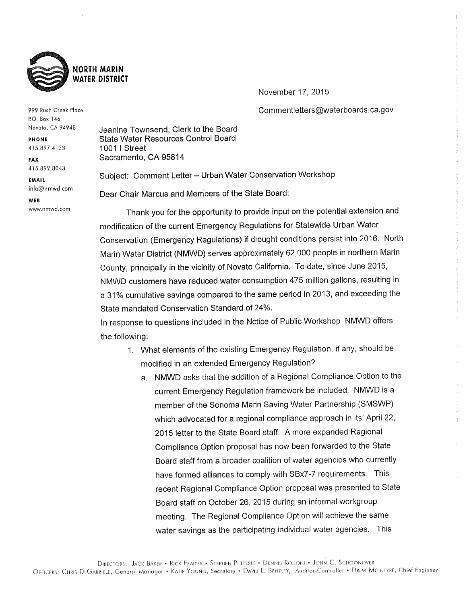

November 17, 2015

Commentletters@waterboards.ca.gov

999 Rush Creek Place P.O. Box 146 Novato, CA 94948

**PHONE** 415.897.4133

**FAX** 415.892.8043

**EMAIL** info@nmwd.com

wra www.nmwd.com Jeanine Townsend, Clerk to the Board **State Water Resources Control Board** 1001 | Street Sacramento, CA 95814

Subject: Comment Letter - Urban Water Conservation Workshop

Dear Chair Marcus and Members of the State Board:

Thank you for the opportunity to provide input on the potential extension and modification of the current Emergency Regulations for Statewide Urban Water Conservation (Emergency Regulations) if drought conditions persist into 2016. North Marin Water District (NMWD) serves approximately 62,000 people in northern Marin County, principally in the vicinity of Novato California. To date, since June 2015, NMWD customers have reduced water consumption 475 million gallons, resulting in a 31% cumulative savings compared to the same period in 2013, and exceeding the State mandated Conservation Standard of 24%.

In response to questions included in the Notice of Public Workshop NMWD offers the following:

- 1. What elements of the existing Emergency Regulation, if any, should be modified in an extended Emergency Regulation?
	- a. NMWD asks that the addition of a Regional Compliance Option to the current Emergency Regulation framework be included. NMWD is a member of the Sonoma Marin Saving Water Partnership (SMSWP) which advocated for a regional compliance approach in its' April 22, 2015 letter to the State Board staff. A more expanded Regional Compliance Option proposal has now been forwarded to the State Board staff from a broader coalition of water agencies who currently have formed alliances to comply with SBx7-7 requirements. This recent Regional Compliance Option proposal was presented to State Board staff on October 26, 2015 during an informal workgroup meeting. The Regional Compliance Option will achieve the same water savings as the participating individual water agencies. This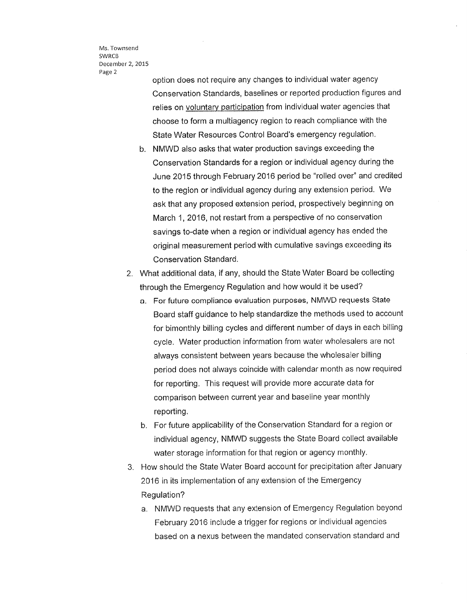Ms. Townsend SWRCB December 2, 2015 Page <sup>2</sup>

option does not require any changes to individual water agency Conservation Standards, baselines or reported produciion figures and relies on voluntary participation from individual water agencies that choose to form a multiagency region to reach compliance with the State Water Resources Control Board's emergency regulation.

- b. NMWD also asks that water production savings exceeding the Conservation Standards for a region or individual agency during the June 2015 through February 2016 period be "rolled over" and credited to the region or individual agency during any extension period. We ask that any proposed extension period, prospectively beginning on March 1,2016, not restart from a perspective of no conservation savings to-date when a region or individual agency has ended the original measurement period with cumulative savings exceeding its Conservation Standard.
- 2. What additional data, if any, should the State Water Board be collecting through the Emergency Regulation and how would it be used?
	- a. For future compliance evaluation purposes, NMWD requests State Board staff guidance to help standardize the methods used io account for bimonthly billing cycles and different number of days in each billing cycle. Water production information from water wholesalers are not always consistent between years because the wholesaler billing period does not always coincide with calendar month as now required for reporting. This request will provide more accurate data for comparison between current year and baseline year monthly reporting.
	- b. For future applicability of the Conservation Standard for a region or individual agency, NMWD suggests the State Board collect available water storage information for that region or agency monthly.
- 3. How should the State Water Board account for precipitation after January 2016 in its implementation of any extension of the Emergency Regulation?
	- a. NMWD requests that any extension of Emergency Regulation beyond February 2016 include a trigger for regions or individual agencies based on a nexus between the mandated conservation standard and